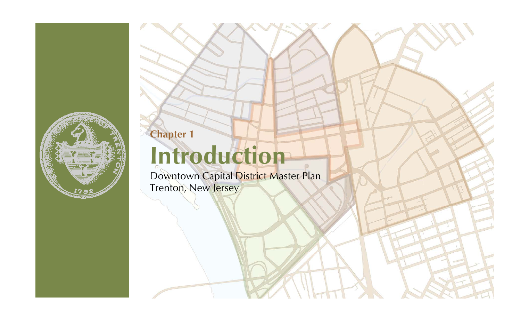

**Chapter 1** 

# **Introduction**

Downtown Capital District Master Plan Trenton, New Jersey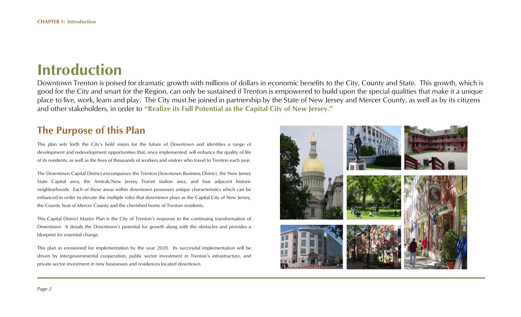# **Introduction**

Downtown Trenton is poised for dramatic growth with millions of dollars in economic benefits to the City, County and State. This growth, which is good for the City and smart for the Region, can only be sustained if Trenton is empowered to build upon the special qualities that make it a unique place to live, work, learn and play. The City must be joined in partnership by the State of New Jersey and Mercer County, as well as by its citizens and other stakeholders, in order to **"Realize its Full Potential as the Capital City of New Jersey."**

## **The Purpose of this Plan**

This plan sets forth the City's bold vision for the future of Downtown and identifies a range of development and redevelopment opportunities that, once implemented, will enhance the quality of life of its residents, as well as the lives of thousands of workers and visitors who travel to Trenton each year.

The Downtown Capital District encompasses the Trenton Downtown Business District, the New Jersey State Capital area, the Amtrak/New Jersey Transit station area, and four adjacent historic neighborhoods. Each of these areas within downtown possesses unique characteristics which can be enhanced in order to elevate the multiple roles that downtown plays as the Capital City of New Jersey, the County Seat of Mercer County and the cherished home of Trenton residents.

This Capital District Master Plan is the City of Trenton's response to the continuing transformation of Downtown. It details the Downtown's potential for growth along with the obstacles and provides a blueprint for essential change.

This plan in envisioned for implementation by the year 2020. Its successful implementation will be driven by intergovernmental cooperation, public sector investment in Trenton's infrastructure, and private sector investment in new businesses and residences located downtown.

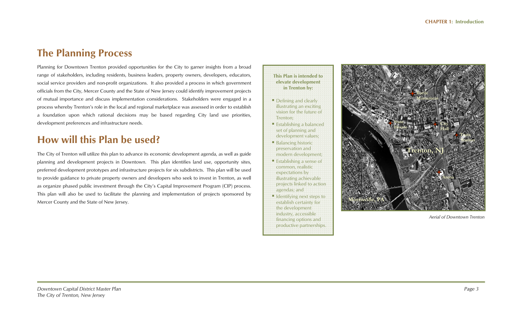# **The Planning Process**

Planning for Downtown Trenton provided opportunities for the City to garner insights from a broad range of stakeholders, including residents, business leaders, property owners, developers, educators, social service providers and non-profit organizations. It also provided a process in which government officials from the City, Mercer County and the State of New Jersey could identify improvement projects of mutual importance and discuss implementation considerations. Stakeholders were engaged in a process whereby Trenton's role in the local and regional marketplace was assessed in order to establish a foundation upon which rational decisions may be based regarding City land use priorities, development preferences and infrastructure needs.

# **How will this Plan be used?**

The City of Trenton will utilize this plan to advance its economic development agenda, as well as guide planning and development projects in Downtown. This plan identifies land use, opportunity sites, preferred development prototypes and infrastructure projects for six subdistricts. This plan will be used to provide guidance to private property owners and developers who seek to invest in Trenton, as well as organize phased public investment through the City's Capital Improvement Program (CIP) process. This plan will also be used to facilitate the planning and implementation of projects sponsored by Mercer County and the State of New Jersey.